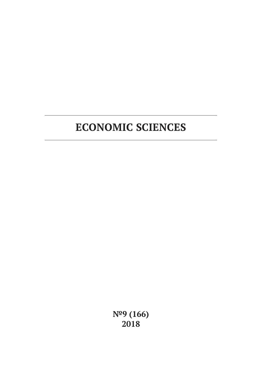**№9 (166) 2018**

# **ECONOMIC SCIENCES**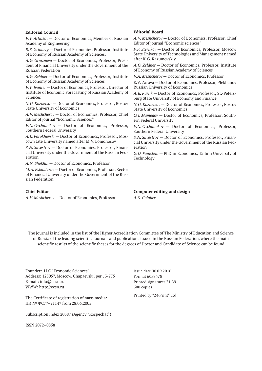#### **Editorial Council**

*V.V. Artiakov* — Doctor of Economics, Member of Russian Academy of Engineering

*R.S. Grinberg* — Doctor of Economics, Professor, Institute of Economy of Russian Academy of Sciences,

*A.G. Griaznova* — Doctor of Economics, Professor, President of Financial University under the Government of the Russian Federation

*A.G. Zeldner* — Doctor of Economics, Professor, Institute of Economy of Russian Academy of Sciences

*V.V. Ivanter* — Doctor of Economics, Professor, Director of Institute of Economic Forecasting of Russian Academy of Sciences

*N.G. Kuznetsov* — Doctor of Economics, Professor, Rostov State University of Economics

*A.V. Meshcherov* — Doctor of Economics, Professor, Chief Editor of journal "Economic Sciences"

*V.N. Ovchinnikov* — Doctor of Economics, Professor, Southern Federal University

*A.L. Porokhovski* — Doctor of Economics, Professor, Moscow State University named after M.V. Lomonosov

*S.N. Silvestrov* — Doctor of Economics, Professor, Financial University under the Government of the Russian Federation

*A.N. Shokhin* — Doctor of Economics, Professor

*M.A. Eskindarov* — Doctor of Economics, Professor, Rector of Financial University under the Government of the Russian Federation

#### **Chief Editor**

*A.V. Meshcherov* — Doctor of Economics, Professor

#### **Editorial Board**

*A.V. Meshcherov* — Doctor of Economics, Professor, Chief Editor of journal "Economic sciences"

*F.F. Sterlikov* — Doctor of Economics, Professor, Moscow State University of Technologies and Management named after K.G. Razumovskiy

*A.G. Zeldner* — Doctor of Economics, Professor, Institute of Economy of Russian Academy of Sciences

*V.A. Meshcherov* — Doctor of Economics, Professor

E.V. Zarova — Doctor of Economics, Professor, Plekhanov Russian University of Economics

*A.E. Karlik* — Doctor of Economics, Professor, St.-Petersburg State University of Economy and Finance

*N.G. Kuznetsov* — Doctor of Economics, Professor, Rostov State University of Economics

*O.J. Mamedov* — Doctor of Economics, Professor, Southern Federal University

*V.N. Ovchinnikov* — Doctor of Economics, Professor, Southern Federal University

*S.N. Silvestrov* — Doctor of Economics, Professor, Financial University under the Government of the Russian Federation

*G.D. Fainstein* — PhD in Economics, Tallinn University of Technology

**Computer editing and design** *A.S. Golubev*

The journal is included in the list of the Higher Accreditation Committee of The Ministry of Education and Science of Russia of the leading scientific journals and publications issued in the Russian Federation, where the main scientific results of the scientific theses for the degrees of Doctor and Candidate of Science can be found

Founder: LLC "Economic Sciences" Address: 125057, Moscow, Chapaevskii per., 3-775 E-mail: info@ecsn.ru WWW: http://ecsn.ru

The Certificate of registration of mass media: ПИ № ФС77–21147 from 28.06.2005

Subscription index 20387 (Agency "Rospechat")

ISSN 2072–0858

Issue date 30.09.2018 Format 60х84/8 Printed signatures 21.39 500 copies

Printed by "24 Print" Ltd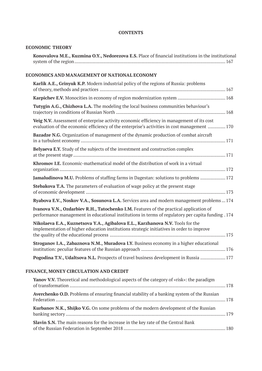### **CONTENTS**

## **ECONOMIC THEORY**

| Konovalova M.E., Kuzmina O.Y., Nedorezova E.S. Place of financial institutions in the institutional |  |
|-----------------------------------------------------------------------------------------------------|--|
|                                                                                                     |  |

# **ECONOMICS AND MANAGEMENT OF NATIONAL ECONOMY**

| Karlik A.E., Grinyuk K.P. Modern industrial policy of the regions of Russia: problems                                                                                                            |
|--------------------------------------------------------------------------------------------------------------------------------------------------------------------------------------------------|
|                                                                                                                                                                                                  |
| Tutygin A.G., Chizhova L.A. The modeling the local business communities behaviour's                                                                                                              |
| Veig N.V. Assessment of enterprise activity economic efficiency in management of its cost<br>evaluation of the economic efficiency of the enterprise's activities in cost management  170        |
| <b>Bazadze N.G.</b> Organization of management of the dynamic production of combat aircraft                                                                                                      |
| Belyaeva E.Y. Study of the subjects of the investment and construction complex                                                                                                                   |
| Khromov I.E. Economic-mathematical model of the distribution of work in a virtual                                                                                                                |
| Jamaludinova M.U. Problems of staffing farms in Dagestan: solutions to problems  172                                                                                                             |
| <b>Stebakova T.A.</b> The parameters of evaluation of wage policy at the present stage                                                                                                           |
| Ryabova E.V., Noskov V.A., Sosunova L.A. Services area and modern management problems  174                                                                                                       |
| Ivanova V.N., Ozdarbiev R.H., Tatochenko I.M. Features of the practical application of<br>174. performance management in educational institutions in terms of regulatory per capita funding .174 |
| Nikolaeva E.A., Kuznetsova Y.A., Agibalova E.L., Karzhanova N.V. Tools for the<br>implementation of higher education institutions strategic initiatives in order to improve                      |
| Stroganov I.A., Zabaznova N.M., Muradova I.Y. Business economy in a higher educational                                                                                                           |
| Pogodina T.V., Udaltsova N.L. Prospects of travel business development in Russia  177                                                                                                            |
|                                                                                                                                                                                                  |

# **FINANCE, MONEY CIRCULATION AND CREDIT**

| Yanov V.V. Theoretical and methodological aspects of the category of «risk»: the paradigm   |  |
|---------------------------------------------------------------------------------------------|--|
| Averchenko O.D. Problems of ensuring financial stability of a banking system of the Russian |  |
| <b>Kurbanov N.K., Shijko V.G.</b> On some problems of the modern development of the Russian |  |
| <b>Slavin S.N.</b> The main reasons for the increase in the key rate of the Central Bank    |  |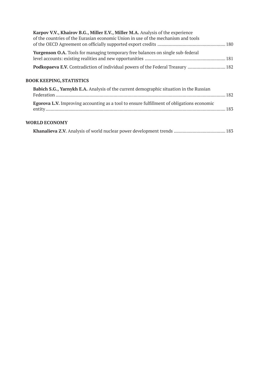| Karpov V.V., Khairov B.G., Miller E.V., Miller M.A. Analysis of the experience         |  |
|----------------------------------------------------------------------------------------|--|
| of the countries of the Eurasian economic Union in use of the mechanism and tools      |  |
| <b>Yurgenson O.A.</b> Tools for managing temporary free balances on single sub-federal |  |
| Podkopaeva E.V. Contradiction of individual powers of the Federal Treasury  182        |  |

# **BOOK KEEPING, STATISTICS**

| <b>Babich S.G., Yarnykh E.A.</b> Analysis of the current demographic situation in the Russian    |  |
|--------------------------------------------------------------------------------------------------|--|
| <b>Egorova L.V.</b> Improving accounting as a tool to ensure fulfillment of obligations economic |  |

### **WORLD ECONOMY**

|--|--|--|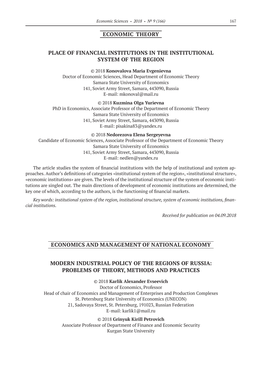## **ECONOMIC THEORY**

# **PLACE OF FINANCIAL INSTITUTIONS IN THE INSTITUTIONAL SYSTEM OF THE REGION**

#### ©© 2018 **Konovalova Maria Evgenievna**

Doctor of Economic Sciences, Head Department of Economic Theory Samara State University of Economics 141, Soviet Army Street, Samara, 443090, Russia E‑mail: mkonoval@mail.ru

©© 2018 **Kuzmina Olga Yurievna**

PhD in Economics, Associate Professor of the Department of Economic Theory Samara State University of Economics 141, Soviet Army Street, Samara, 443090, Russia E‑mail: pisakina83@yandex.ru

©© 2018 **Nedorezova Elena Sergeyevna**

Candidate of Economic Sciences, Associate Professor of the Department of Economic Theory Samara State University of Economics 141, Soviet Army Street, Samara, 443090, Russia E‑mail: nedlen@yandex.ru

The article studies the system of financial institutions with the help of institutional and system approaches. Author's definitions of categories «institutional system of the region», «institutional structure», «economic institutions» are given. The levels of the institutional structure of the system of economic institutions are singled out. The main directions of development of economic institutions are determined, the key one of which, according to the authors, is the functioning of financial markets.

*Key words: institutional system of the region, institutional structure, system of economic institutions, financial institutions.*

*Received for publication on 04.09.2018*

### **ECONOMICS AND MANAGEMENT OF NATIONAL ECONOMY**

### **MODERN INDUSTRIAL POLICY OF THE REGIONS OF RUSSIA: PROBLEMS OF THEORY, METHODS AND PRACTICES**

### ©© 2018 **Karlik Alexander Evseevich**

Doctor of Economics, Professor Head of chair of Economics and Management of Enterprises and Production Complexes St. Petersburg State University of Economics (UNECON) 21, Sadovaya Street, St. Petersburg, 191023, Russian Federation E‑mail: karlik1@mail.ru

©© 2018 **Grinyuk Kirill Petrovich**

Associate Professor of Department of Finance and Economic Security Kurgan State University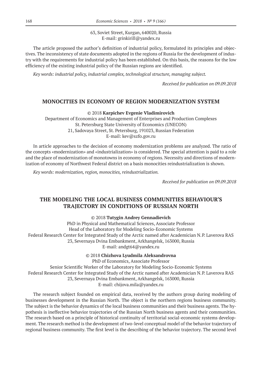63, Soviet Street, Kurgan, 640020, Russia E‑mail: grinkirill@yandex.ru

The article proposed the author's definition of industrial policy, formulated its principles and objectives. The inconsistency of state documents adopted in the regions of Russia for the development of industry with the requirements for industrial policy has been established. On this basis, the reasons for the low efficiency of the existing industrial policy of the Russian regions are identified.

*Key words: industrial policy, industrial complex, technological structure, managing subject.*

*Received for publication on 09.09.2018*

#### **MONOCITIES IN ECONOMY OF REGION MODERNIZATION SYSTEM**

©© 2018 **Karpichev Evgenie Vladimirovich**

Department of Economics and Management of Enterprises and Production Complexes St. Petersburg State University of Economics (UNECON) 21, Sadovaya Street, St. Petersburg, 191023, Russian Federation E‑mail: kev@szfo.gov.ru

In article approaches to the decision of economy modernization problems are analyzed. The ratio of the concepts «modernization» and «industrialization» is considered. The special attention is paid to a role and the place of modernization of monotowns in economy of regions. Necessity and directions of modernization of economy of Northwest Federal district on a basis monocities reindustrialization is shown.

*Key words: modernization, region, monocities, reindustrialization.*

*Received for publication on 09.09.2018*

### **THE MODELING THE LOCAL BUSINESS COMMUNITIES BEHAVIOUR'S TRAJECTORY IN CONDITIONS OF RUSSIAN NORTH**

#### ©© 2018 **Tutygin Andrey Gennadievich**

PhD in Physical and Mathematical Sciences, Associate Professor Head of the Laboratory for Modeling Socio-Economic Systems Federal Research Center for Integrated Study of the Arctic named after Academician N.P. Laverova RAS 23, Severnaya Dvina Embankment, Arkhangelsk, 163000, Russia E‑mail: andgt64@yandex.ru

©© 2018 **Chizhova Lyudmila Aleksandrovna**

PhD of Economics, Associate Professor Senior Scientific Worker of the Laboratory for Modeling Socio-Economic Systems Federal Research Center for Integrated Study of the Arctic named after Academician N.P. Laverova RAS 23, Severnaya Dvina Embankment, Arkhangelsk, 163000, Russia E‑mail: chijova.mila@yandex.ru

The research subject founded on empirical data, received by the authors group during modeling of businesses development in the Russian North. The object is the northern regions business community. The subject is the behavior dynamics of the local business communities and their business agents. The hypothesis is ineffective behavior trajectories of the Russian North business agents and their communities. The research based on a principle of historical continuity of territorial social-economic systems development. The research method is the development of two-level conceptual model of the behavior trajectory of regional business community. The first level is the describing of the behavior trajectory. The second level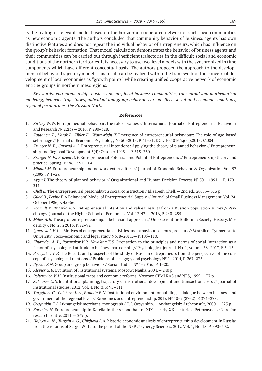is the scaling of relevant model based on the horizontal-cooperated network of such local communities as new economic agents. The authors concluded that community behavior of business agents has own distinctive features and does not repeat the individual behavior of entrepreneurs, which has influence on the group's behavior formation. That model calculation demonstrates the behavior of business agents and their communities can be carried out through inefficient trajectories in the difficult social and economic conditions of the northern territories. It is necessary to use two-level models with the synchronized in time components which have different conceptual basis. The authors proposed the approach to the development of behavior trajectory model. This result can be realized within the framework of the concept of development of local economies as "growth points" while creating unified cooperative network of economic entities groups in northern mesoregions.

*Key words: entrepreneurship, business agents, local business communities, conceptual and mathematical modeling, behavior trajectories, individual and group behavior, chreod effect, social and economic conditions, regional peculiarities, the Russian North*

#### **References**

- 1. *Kirkley W.W.* Entrepreneurial behaviour: the role of values // International Journal of Entrepreneurial Behaviour and Research № 22(3) — 2016, P. 290–328.
- 2. *Kautonen T., Hatak I., Kibler E., Wainwright T.* Emergence of entrepreneurial behaviour: The role of age-based self-image // Journal of Economic Psychology № 50–2015, P. 41–51. DOI: 10.1016/j.joep.2015.07.004
- 3. *Krueger N. F., Carsrud A.L.* Entrepreneurial intentions: Applying the theory of planned behavior // Entrepreneurship and Regional Development 5(4): October 1993.— P. 315–330.
- 4. *Krueger N. F., Brazeal D.V.* Entrepreneurial Potential and Potential Entrepreneurs // Entrepreneurship theory and practice, Spring, 1994., P. 91–104.
- 5. *Minniti M.* Entrepreneurship and network externalities // Journal of Economic Behavior & Organization Vol. 57 (2005), P. 1–27.
- 6. *Ajzen I.* The theory of planned behavior // Organizational and Human Decision Process № 50.—1991.— P. 179– 211.
- 7. *Chell E.* The entrepreneurial personality: a social construction / Elizabeth Chell.— 2nd ed., 2008.— 313 p.
- 8. *Gilad B., Levine P.* A Behavioral Model of Entrepreneurial Supply // Journal of Small Business Management, Vol. 24, October 1986, P. 45–56.
- 9. *Schmidt P., Tatarko A.N.* Entrepreneurial intention and values: results from a Russion population survey // Psychology. Journal of the Higher School of Economics. Vol. 13 N2.— 2016, P. 240–255.
- 10. *Miller A.E.* Theory of entrepreneurship: a behavioral approach // Omsk scientific Bulletin. «Society. History. Modernity». No. 2 in 2016, P. 92–97.
- 11. *Ignatova I. V.* the Motives of entrepreneurial activities and behaviours of entrepreneurs // Vestnik of Tyumen state University. Socio-economic and legal study No. 8–2011.— P. 105–110.
- 12. *Zhuravlev A. L., Poznyakov V.P., Vavakina T.S.* Orientation to the principles and norms of social interaction as a factor of psychological attitude to business partnership // Psychological journal. No. 1, volume 38–2017, P. 5–15
- 13. *Poznyakov V.P.* The Results and prospects of the study of Russian entrepreneurs from the perspective of the concept of psychological relations // Problems of pedagogy and psychology № 1–2014, P. 267–275.
- 14. *Ilyasov F.N.* Group and group behavior / / Social studies № 1–2016., P. 1–20.
- 15. *Kleiner G.B.* Evolution of institutional systems. Moscow: Nauka, 2004.— 240 p.
- 16. *Polterovich V.M.* Institutional traps and economic reforms. Moscow: CEMI RAS and NES, 1999.— 37 p.
- 17. *Sukharev O.S.* Institutional planning, trajectory of institutional development and transaction costs // Journal of institutional studies. 2012. Vol. 4, No. 3. P. 95–111.
- 18. *Tutygin A. G., Chizhova L.A., Ermolin E.N.* Institutional environment for building a dialogue between business and government at the regional level // Economics and entrepreneurship. 2017. Nº 10−2 (87−2). P. 274−278.
- 19. *Ovsyankin E.I.* Arkhangelsk merchant: monograph / E.I. Ovsyankin.— Arkhangelsk: Archconsult, 2000.— 525 p.
- 20. *Korablev N.* Entrepreneurship in Karelia in the second half of XIX early XX centuries. Petrozavodsk: Karelian research centre, 2011.— 269 p.
- 21. *Hajiyev A. N., Tutygin A.G., Chizhova L.A.* historic-economic analysis of entrepreneurship development in Russia: from the reforms of Sergei Witte to the period of the NEP // synergy Sciences. 2017. Vol. 1, No. 18. P. 590–602.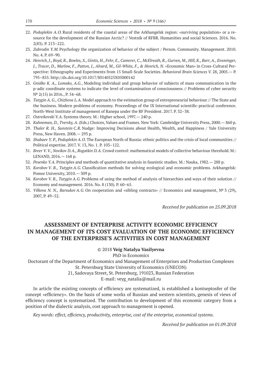- 22. *Podoplekin A.O.* Rural residents of the coastal areas of the Arkhangelsk region: «surviving population» or a resource for the development of the Russian Arctic? // Vestnik of RFBR. Humanities and social Sciences. 2016. No. 2(83). P. 213–222.
- 23. *Zabrodin Y.M.* Psychology the organization of behavior of the subject / Person. Community. Management. 2010. No. 4. P. 69–90.
- 24. *Henrich, J., Boyd, R., Bowles, S., Gintis, H., Fehr, E., Camerer, C., McElreath, R., Gurven, M., Hill, K., Barr, A., Ensminger, J., Tracer, D., Marlow, F., Patton, J., Alvard, M., Gil-White, F., & Henrich, N.* «Economic Man» in Cross-Cultural Perspective: Ethnography and Experiments from 15 Small-Scale Societies. *Behavioral Brain Sciences V.* 28, 2005.— P. 795–855. http://dx.doi.org/10.1017/S0140525X05000142
- 25. *Gnidko K. A., Lomako, A.G.*, Modeling individual and group behavior of subjects of mass communication in the p-adic coordinate systems to indicate the level of contamination of consciousness // Problems of cyber security № 2(15) in 2016., P. 54–68.
- 26. *Tutygin A. G., Chizhova L.A.* Model approach to the estimation group of entrepreneurial behaviour // The State and the business. Modern problems of economy. Proceedings of the IX International scientific-practical conference. North-West Institute of management of Ranepa under the RF President. 2017. P. 32–38.
- 27. *Ostreikovski V.A.* Systems theory. M.: Higher school, 1997.— 240 p.
- 28. *Kahneman, D., Tversky, A*. (Eds.) Choices, Values and Frames. New York: Cambridge University Press, 2000.— 860 p.
- 29. *Thaler R. H., Sunstein C.R.* Nudge: Improving Decisions about Health, Wealth, and Happiness / Yale University Press, New Haven. 2008.— 293 p.
- 30. *Shabaev Y. P., Podoplekin A.O.* The European North of Russia: ethnic politics and the crisis of local communities // Political expertise. 2017. V. 13, No. 1. P. 103–122.
- 31. *Breer V. V., Novikov D.A., Rogatkin D.A.* Crowd control: mathematical models of collective behaviour threshold. M.: LENAND, 2016.— 168 p.
- 32. *Pesenko Y.A.* Principles and methods of quantitative analysis in faunistic studies. M.: Nauka, 1982.— 288 p.
- 33. *Korobov V. B., Tutygin A.G.* Classification methods for solving ecological and economic problems. Arkhangelsk: Pomor University, 2010.— 309 p.
- 34. *Korobov V. B., Tutygin A.G.* Problems of using the method of analysis of hierarchies and ways of their solution // Economy and management. 2016. No. 8 (130). P. 60–65.
- 35. *Vilkova N. N., Barsukov A.G.* On cooperation and «sibling contracts» // Economics and management, № 3 (29), 2007, P. 49–52.

*Received for publication on 25.09.2018*

# **ASSESSMENT OF ENTERPRISE ACTIVITY ECONOMIC EFFICIENCY IN MANAGEMENT OF ITS COST EVALUATION OF THE ECONOMIC EFFICIENCY OF THE ENTERPRISE'S ACTIVITIES IN COST MANAGEMENT**

#### ©© 2018 **Veig Natalya Vasilyevna**

PhD in Economics

Doctorant of the Department of Economics and Management of Enterprises and Production Complexes St. Petersburg State University of Economics (UNECON)

21, Sadovaya Street, St. Petersburg, 191023, Russian Federation

E-mail: veyg\_natalia@mail.ru

In article the existing concepts of efficiency are systematized, is established a kontseptosfer of the concept «efficiency». On the basis of some works of Russian and western scientists, genesis of views of efficiency concept is systematized. The contribution to development of this economic category from a position of the dialectic analysis, cost approach to management is opened.

*Key words: effect, efficiency, productivity, enterprise, cost of the enterprise, economical systems.*

*Received for publication on 01.09.2018*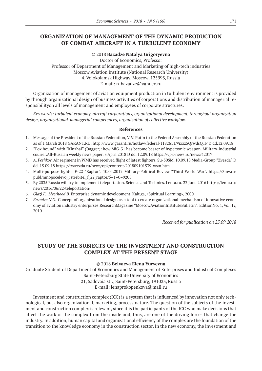# **ORGANIZATION OF MANAGEMENT OF THE DYNAMIC PRODUCTION OF COMBAT AIRCRAFT IN A TURBULENT ECONOMY**

©© 2018 **Bazadze Natalya Grigoryevna**

Doctor of Economics, Professor Professor of Department of Management and Marketing of high-tech industries Moscow Aviation Institute (National Research University) 4, Volokolamsk Highway, Moscow, 125993, Russia E‑mail: n-bazadze@yandex.ru

Organization of management of aviation equipment production in turbulent environment is provided by through organizational design of business activities of corporations and distribution of managerial responsibilityon all levels of management and employees of corporate structures.

*Key words: turbulent economy, aircraft corporations, organizational development, throughout organization design, organizational-managerial competences, organization of collective workflow.*

#### **References**

- 1. Message of the President of the Russian Federation, V.V. Putin to the Federal Assembly of the Russian Federation as of 1 March 2018 GARANT.RU: http://www.garant.ru/hotlaw/federal/1182611/#ixzz5QrwdsQTP D dd.12.09.18
- 2. "Fox hound" with "Kinzhal" (Dagger): how MiG‑31 has become bearer of hypersonic weapon. Military-industrial courier.All-Russian weekly news paper. 3 April 2018 D dd. 12.09.18 https://vpk-news.ru/news/42017
- 3. *A. Peshkov*. Air regiment in WMD has received flight of latest fighters, Su‑30SM. 10.09.18 Media-Group "Zvezda" D dd. 15.09.18 https://tvzvezda.ru/news/opk/content/201809101539-xzzn.htm
- 4. Multi-purpose fighter F‑22 "Raptor". 10.04.2012 Military-Political Review "Third World War". https://3mv.ru/ publ/mnogocelevoj\_istrebitel\_f\_22\_raptor/5–1–0–9208
- 5. By 2035 Russia will try to implement teleportation. Science and Technics. Lenta.ru. 22 June 2016 https://lenta.ru/ news/2016/06/22/teleportation/
- 6. *Glazl F., Liverhood B.* Enterprise dynamic development. Kaluga, «Spiritual Learning», 2000
- 7. *Bazadze N.G.* Concept of organizational design as a tool to create organizational mechanism of innovative economy of aviation industry enterpirses.ResearchMagazine "MoscowAviationInstituteBulletin". EditionNo. 4, Vol. 17, 2010

*Received for publication on 25.09.2018*

# **STUDY OF THE SUBJECTS OF THE INVESTMENT AND CONSTRUCTION COMPLEX AT THE PRESENT STAGE**

#### ©© 2018 **Belyaeva Elena Yuryevna**

Graduate Student of Department of Economics and Management of Enterprises and Industrial Complexes Saint-Petersburg State University of Economics

> 21, Sadovaia str., Saint-Petersburg, 191023, Russia E‑mail: lenaprokopenkova@mail.ru

Investment and construction complex (ICC) is a system that is influenced by innovation not only technological, but also organizational, marketing, process nature. The question of the subjects of the investment and construction complex is relevant, since it is the participants of the ICC who make decisions that affect the work of the complex from the inside and, thus, are one of the driving forces that change the industry. In addition, human capital and organizational efficiency of the complex are the foundation of the transition to the knowledge economy in the construction sector. In the new economy, the investment and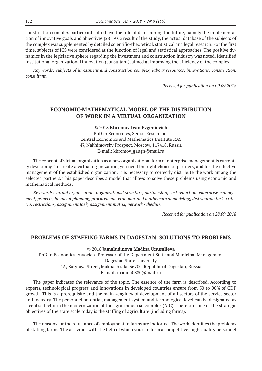construction complex participants also have the role of determining the future, namely the implementation of innovative goals and objectives [28]. As a result of the study, the actual database of the subjects of the complex was supplemented by detailed scientific-theoretical, statistical and legal research. For the first time, subjects of ICS were considered at the junction of legal and statistical approaches. The positive dynamics in the legislative sphere regarding the investment and construction industry was noted. Identified institutional organizational innovation (consultant), aimed at improving the efficiency of the complex.

*Key words: subjects of investment and construction complex, labour resources, innovations, construction, consultant.*

*Received for publication on 09.09.2018*

# **ECONOMIC-MATHEMATICAL MODEL OF THE DISTRIBUTION OF WORK IN A VIRTUAL ORGANIZATION**

©© 2018 **Khromov Ivan Evgenievich** PhD in Economics, Senior Researcher Central Economics and Mathematics Institute RAS 47, Nakhimovsky Prospect, Moscow, 117418, Russia E‑mail: khromov\_gaugn@mail.ru

The concept of virtual organization as a new organizational form of enterprise management is currently developing. To create a virtual organization, you need the right choice of partners, and for the effective management of the established organization, it is necessary to correctly distribute the work among the selected partners. This paper describes a model that allows to solve these problems using economic and mathematical methods.

*Key words: virtual organization, organizational structure, partnership, cost reduction, enterprise management, projects, financial planning, procurement, economic and mathematical modeling, distribution task, criteria, restrictions, assignment task, assignment matrix, network schedule.*

*Received for publication on 28.09.2018*

#### **PROBLEMS OF STAFFING FARMS IN DAGESTAN: SOLUTIONS TO PROBLEMS**

©© 2018 **Jamaludinova Madina Unusalieva**

PhD in Economics, Associate Professor of the Department State and Municipal Management Dagestan State University 4A, Batyraya Street, Makhachkala, 36700, Republic of Dagestan, Russia E‑mail: madina0880@mail.ru

The paper indicates the relevance of the topic. The essence of the farm is described. According to experts, technological progress and innovations in developed countries ensure from 50 to 90% of GDP growth. This is a prerequisite and the main «engine» of development of all sectors of the service sector and industry. The personnel potential, management system and technological level can be designated as a central factor in the modernization of the agro-industrial complex (AIC). Therefore, one of the strategic objectives of the state scale today is the staffing of agriculture (including farms).

The reasons for the reluctance of employment in farms are indicated. The work identifies the problems of staffing farms. The activities with the help of which you can form a competitive, high-quality personnel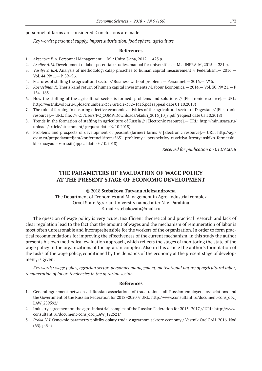personnel of farms are considered. Conclusions are made.

*Key words: personnel supply, import substitution, food sphere, agriculture.*

#### **References**

- 1. *Aksenova E.A.* Personnel Management.— M .: Unity-Dana, 2012.— 423 p.
- 2. *Asaliev A.M.* Development of labor potential: studies. manual for universities.— M .: INFRA-M, 2015.— 281 p.
- 3. *Vasilyeva Е.A.* Analysis of methodologi calap proaches to human capital measurement // Federalism.— 2016.— Vol. 44, № 1.— P. 89–96.
- 4. Features of staffing the agricultural sector // Business without problems Personnel. 2016.  $N^{\circ}$  5.
- 5. *Koerselman K.* Theris kand return of human capital investments //Labour Economics.— 2014.— Vol. 30, № 21,— P 154–163.
- 6. How the staffing of the agricultural sector is formed: problems and solutions // [Electronic resource].— URL: http://vestnik.volbi.ru/upload/numbers/332/article‑332–1415.pdf (appeal date 01.10.2018)
- 7. The role of farming in ensuring effective economic activities of the agricultural sector of Dagestan // [Electronic resource].— URL: file: /// C: /Users/PC\_COMP/Downloads/ekukrr\_2016\_10\_8.pdf (request date 03.10.2018)
- 8. Trends in the formation of staffing in agriculture of Russia // [Electronic resource].— URL: http://min.usaca.ru/ uploads/article/attachment/ (request date 02.10.2018)
- 9. Problems and prospects of development of peasant (farmer) farms // [Electronic resource].— URL: http://agrovuz.ru/prepodavateljam/konferencii/item/5651-problemy-i-perspektivy-razvitiya-krestyanskikh-fermerskikh-khozyauistv-rossii (appeal date 04.10.2018)

*Received for publication on 01.09.2018*

# **THE PARAMETERS OF EVALUATION OF WAGE POLICY AT THE PRESENT STAGE OF ECONOMIC DEVELOPMENT**

©© 2018 **Stebakova Tatyana Aleksandrovna**

The Department of Economics and Management in Agro-industrial complex Oryol State Agrarian University named after N.V. Parahina E‑mail: stebakovata@mail.ru

The question of wage policy is very acute. Insufficient theoretical and practical research and lack of clear regulation lead to the fact that the amount of wages and the mechanism of remuneration of labor is most often unreasonable and incomprehensible for the workers of the organization. In order to form practical recommendations for improving the effectiveness of the current mechanism, in this study the author presents his own methodical evaluation approach, which reflects the stages of monitoring the state of the wage policy in the organizations of the agrarian complex. Also in this article the author's formulation of the tasks of the wage policy, conditioned by the demands of the economy at the present stage of development, is given.

*Key words: wage policy, agrarian sector, personnel management, motivational nature of agricultural labor, remuneration of labor, tendencies in the agrarian sector.*

#### **References**

- 1. General agreement between all-Russian associations of trade unions, all-Russian employers' associations and the Government of the Russian Federation for 2018–2020 // URL: http://www.consultant.ru/document/cons\_doc\_ LAW\_289592/
- 2. Industry agreement on the agro-industrial complex of the Russian Federation for 2015–2017 // URL: http://www. consultant.ru/document/cons\_doc\_LAW\_122521/
- 3. *Proka N.I.* Osnovnie parametry politiky oplaty truda v agrarnom sektore economy / Vestnik OrelGAU. 2016. No6 (63). p.3–9.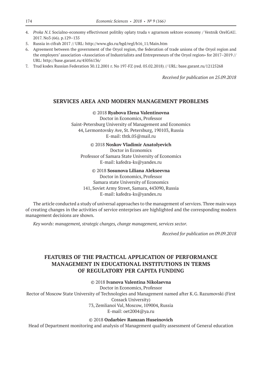- 4. *Proka N.I.* Socialno-economy effectivnost politiky oplaty truda v agrarnom sektore economy / Vestnik OrelGAU. 2017. No3 (66). p.129–135
- 5. Russia in cifrah 2017 // URL: http://www.gks.ru/bgd/regl/b16\_11/Main.htm
- 6. Agreement between the government of the Oryol region, the federation of trade unions of the Oryol region and the employers' association «Association of Industrialists and Entrepreneurs of the Oryol region» for 2017–2019 // URL: http://base.garant.ru/45056136/
- 7. Trud kodex Russian Federation 30.12.2001 г. No 197-FZ (red. 05.02.2018) // URL: base.garant.ru/12125268

*Received for publication on 25.09.2018*

### **SERVICES AREA AND MODERN MANAGEMENT PROBLEMS**

#### ©© 2018 **Ryabova Elena Valentinovna**

Doctor in Economics, Professor Saint-Petersburg University of Management and Economics 44, Lermontovsky Ave, St. Petersburg, 190103, Russia E‑mail: thtk.05@mail.ru

©© 2018 **Noskov Vladimir Anatolyevich**

Doctor in Economics Professor of Samara State University of Economics E‑mail: kafedra-ks@yandex.ru

©© 2018 **Sosunova Liliana Alekseevna**

Doctor in Economics, Professor Samara state University of Economics 141, Soviet Army Street, Samara, 443090, Russia E‑mail: kafedra-ks@yandex.ru

The article conducted a study of universal approaches to the management of services. Three main ways of creating changes in the activities of service enterprises are highlighted and the corresponding modern management decisions are shown.

*Key words: management, strategic changes, change management, services sector.*

*Received for publication on 09.09.2018*

# **FEATURES OF THE PRACTICAL APPLICATION OF PERFORMANCE MANAGEMENT IN EDUCATIONAL INSTITUTIONS IN TERMS OF REGULATORY PER CAPITA FUNDING**

©© 2018 **Ivanova Valentina Nikolaevna**

Doctor in Economics, Professor Rector of Moscow State University of Technologies and Management named after K.G. Razumovski (First Cossack University) 73, Zemlianoi Val, Moscow, 109004, Russia E‑mail: oet2004@ya.ru

©© 2018 **Ozdarbiev Ramzan Huseinovich**

Head of Department monitoring and analysis of Management quality assessment of General education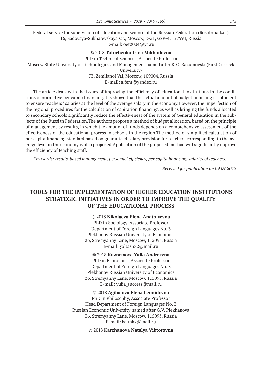Federal service for supervision of education and science of the Russian Federation (Rosobrnadzor) 16, Sadovaya-Sukharevskaya str., Moscow, K‑51, GSP‑4, 127994, Russia E‑mail: oet2004@ya.ru

#### ©© 2018 **Tatochenko Irina Mikhailovna**

PhD in Technical Sciences, Associate Professor

Moscow State University of Technologies and Management named after K.G. Razumovski (First Cossack

University)

73, Zemlianoi Val, Moscow, 109004, Russia

E‑mail: a.fem@yandex.ru

The article deals with the issues of improving the efficiency of educational institutions in the conditions of normative per capita financing.It is shown that the actual amount of budget financing is sufficient to ensure teachers ' salaries at the level of the average salary in the economy.However, the imperfection of the regional procedures for the calculation of capitation financing, as well as bringing the funds allocated to secondary schools significantly reduce the effectiveness of the system of General education in the subjects of the Russian Federation.The authors propose a method of budget allocation, based on the principle of management by results, in which the amount of funds depends on a comprehensive assessment of the effectiveness of the educational process in schools in the region.The method of simplified calculation of per capita financing standard based on guaranteed salary provision for teachers corresponding to the average level in the economy is also proposed.Application of the proposed method will significantly improve the efficiency of teaching staff.

*Key words: results-based management, personnel efficiency, per capita financing, salaries of teachers.*

*Received for publication on 09.09.2018*

## **TOOLS FOR THE IMPLEMENTATION OF HIGHER EDUCATION INSTITUTIONS STRATEGIC INITIATIVES IN ORDER TO IMPROVE THE QUALITY OF THE EDUCATIONAL PROCESS**

©© 2018 **Nikolaeva Elena Anatolyevna**

PhD in Sociology, Associate Professor Department of Foreign Languages No. 3 Plekhanov Russian University of Economics 36, Stremyanny Lane, Moscow, 115093, Russia E‑mail: yoltash82@mail.ru

©© 2018 **Kuznetsova Yulia Andreevna** PhD in Economics, Associate Professor Department of Foreign Languages No. 3 Plekhanov Russian University of Economics 36, Stremyanny Lane, Moscow, 115093, Russia E-mail: yulia\_success@mail.ru

©© 2018 **Agibalova Elena Leonidovna** PhD in Philosophy, Associate Professor Head Department of Foreign Languages No. 3 Russian Economic University named after G.V. Plekhanova 36, Stremyanny Lane, Moscow, 115093, Russia E‑mail: kafmkk@mail.ru

©© 2018 **Karzhanova Natalya Viktorovna**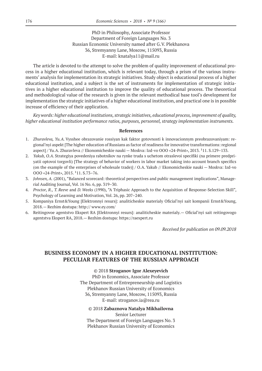PhD in Philosophy, Associate Professor Department of Foreign Languages No. 3 Russian Economic University named after G.V. Plekhanova 36, Stremyanny Lane, Moscow, 115093, Russia E‑mail: knatalya11@mail.ru

The article is devoted to the attempt to solve the problem of quality improvement of educational process in a higher educational institution, which is relevant today, through a prism of the various instruments' analysis for implementation its strategic initiatives. Study object is educational process of a higher educational institution, and a subject is the set of instruments for implementation of strategic initiatives in a higher educational institution to improve the quality of educational process. The theoretical and methodological value of the research is given in the relevant methodical base tool's development for implementation the strategic initiatives of a higher educational institution, and practical one is in possible increase of efficiency of their application.

*Key words: higher educational institutions, strategic initiatives, educational process, improvement of quality, higher educational institution performance ratios, purposes, personnel, strategy implementation instruments.*

#### **References**

- 1. *Zhuravleva, Yu.A.* Vysshee obrazovanie rossiyan kak faktor gotovnosti k innovacionnym preobrazovaniyam: regional'nyi aspekt [The higher education of Russians as factor of readiness for innovative transformations: regional aspect] / Yu.A. Zhuravleva // Ekonomicheskie nauki — Moskva: Izd-vo OOO «24-Print», 2013. <sup>1</sup>11. S.129-133.
- 2. *Yakub, O.A*. Strategiya povedeniya rabotnikov na rynke truda s uchetom otraslevoi specifiki (na primere predpriyatii optovoi torgovli) [The strategy of behavior of workers in labor market taking into account branch specifics (on the example of the enterprises of wholesale trade)] / O.A. Yakub // Ekonomicheskie nauki — Moskva: Izd-vo OOO «24-Print», 2015. <sup>1</sup>11. S.73-76.
- 3. *Johnsen, A.* (2001), "Balanced scorecard: theoretical perspectives and public management implications", Managerial Auditing Journal, Vol. 16 No. 6, pp. 319–30.
- 4. *Proctor, R., T. Reeve* and *D. Weeks* (1990), "A Triphasic Approach to the Acquisition of Response-Selection Skill", Psychology of Learning and Motivation, Vol. 26, pp. 207–240.
- 5. Kompaniya Ernst&Young [Elektronnyi resurs]: analiticheskie materialy Oficial'nyi sait kompanii Ernst&Young, 2018.— Rezhim dostupa: http:// www.ey.com/
- 6. Reitingovoe agentstvo Ekspert RA [Elektronnyi resurs]: analiticheskie materialy.— Oficial'nyi sait reitingovogo agentstva Ekspert RA, 2018.— Rezhim dostupa: https://raexpert.ru

*Received for publication on 09.09.2018*

# **BUSINESS ECONOMY IN A HIGHER EDUCATIONAL INSTITUTION: PECULIAR FEATURES OF THE RUSSIAN APPROACH**

©© 2018 **Stroganov Igor Alexeyevich**

PhD in Economics, Associate Professor The Department of Entrepreneurship and Logistics Plekhanov Russian University of Economics 36, Stremyanny Lane, Moscow, 115093, Russia E‑mail: stroganov.ia@rea.ru

©© 2018 **Zabaznova Natalya Mikhailovna** Senior Lecturer The Department of Foreign Languages No. 3 Plekhanov Russian University of Economics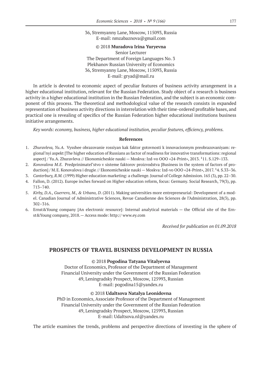36, Stremyanny Lane, Moscow, 115093, Russia E‑mail: nmzabaznova@gmail.com

#### ©© 2018 **Muradova Irina Yuryevna**

Senior Lecturer The Department of Foreign Languages No. 3 Plekhanov Russian University of Economics 36, Stremyanny Lane, Moscow, 115093, Russia E‑mail: gryad@mail.ru

In article is devoted to economic aspect of peculiar features of business activity arrangement in a higher educational institution, relevant for the Russian Federation. Study object of a research is business activity in a higher educational institution in the Russian Federation, and the subject is an economic component of this process. The theoretical and methodological value of the research consists in expanded representation of business activity directions in interrelation with their time-ordered profitable bases, and practical one is revealing of specifics of the Russian Federation higher educational institutions business initiative arrangements.

*Key words: economy, business, higher educational institution, peculiar features, efficiency, problems.*

#### **References**

- 1. *Zhuravleva, Yu.A.* Vysshee obrazovanie rossiyan kak faktor gotovnosti k innovacionnym preobrazovaniyam: regional'nyi aspekt [The higher education of Russians as factor of readiness for innovative transformations: regional aspect] / Yu.A. Zhuravleva // Ekonomicheskie nauki — Moskva: Izd-vo OOO «24-Print», 2013. <sup>1</sup>11. S.129-133.
- 2. *Konovalova M.E.* Predprinimatel'stvo v sisteme faktorov proizvodstva [Business in the system of factors of production] / M.E. Konovalova i drugie // Ekonomicheskie nauki — Moskva: Izd-vo OOO «24-Print», 2017. <sup>1</sup>4. S.33–36.
- 3. *Canterbury, R.M.* (1999) Higher education marketing: a challenge. Journal of College Admission. 165 (3), pp. 22–30.
- 4. Fallon, D. (2012). Europe inches forward on Higher education reform, focus: Germany. Social Research, 79(3), pp. 713–740.
- 5. *Kirby, D.A., Guerrero, M., & Urbano, D*. (2011). Making universities more entrepreneurial: Development of a model. Canadian Journal of Administrative Sciences, Revue Canadienne des Sciences de l'Administration, 28(3), pp. 302–316.
- 6. Ernst&Young company [An electronic resource]: Internal analytical materials the Official site of the Ernst&Young company, 2018.— Access mode: http:// www.ey.com

*Received for publication on 01.09.2018*

### **PROSPECTS OF TRAVEL BUSINESS DEVELOPMENT IN RUSSIA**

#### ©© 2018 **Pogodina Tatyana Vitalyevna**

Doctor of Economics, Professor of the Department of Management Financial University under the Government of the Russian Federation 49, Leningradsky Prospect, Moscow, 125993, Russian E‑mail: pogodina15@yandex.ru

#### ©© 2018 **Udaltsova Natalya Leonidovna**

PhD in Economics, Associate Professor of the Department of Management Financial University under the Government of the Russian Federation 49, Leningradsky Prospect, Moscow, 125993, Russian E‑mail: Udaltsova.nl@yandex.ru

The article examines the trends, problems and perspective directions of investing in the sphere of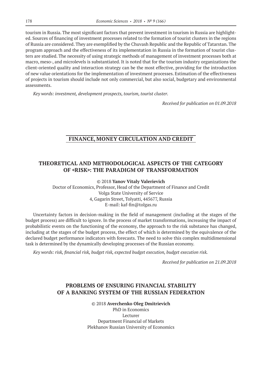tourism in Russia. The most significant factors that prevent investment in tourism in Russia are highlighted. Sources of financing of investment processes related to the formation of tourist clusters in the regions of Russia are considered. They are exemplified by the Chuvash Republic and the Republic of Tatarstan. The program approach and the effectiveness of its implementation in Russia in the formation of tourist clusters are studied. The necessity of using strategic methods of management of investment processes both at macro, meso-, and microlevels is substantiated. It is noted that for the tourism industry organizations the client-oriented quality and interaction strategy can be the most effective, providing for the introduction of new value orientations for the implementation of investment processes. Estimation of the effectiveness of projects in tourism should include not only commercial, but also social, budgetary and environmental assessments.

*Key words: investment, development prospects, tourism, tourist cluster.*

*Received for publication on 01.09.2018*

### **FINANCE, MONEY CIRCULATION AND CREDIT**

# **THEORETICAL AND METHODOLOGICAL ASPECTS OF THE CATEGORY OF «RISK»: THE PARADIGM OF TRANSFORMATION**

©© 2018 **Yanov Vitaly Valerievich**

Doctor of Economics, Professor, Head of the Department of Finance and Credit Volga State University of Service 4, Gagarin Street, Tolyatti, 445677, Russia E‑mail: kaf-fin@tolgas.ru

Uncertainty factors in decision-making in the field of management (including at the stages of the budget process) are difficult to ignore. In the process of market transformations, increasing the impact of probabilistic events on the functioning of the economy, the approach to the risk substance has changed, including at the stages of the budget process, the effect of which is determined by the equivalence of the declared budget performance indicators with forecasts. The need to solve this complex multidimensional task is determined by the dynamically developing processes of the Russian economy.

*Key words: risk, financial risk, budget risk, expected budget execution, budget execution risk.*

*Received for publication on 21.09.2018*

# **PROBLEMS OF ENSURING FINANCIAL STABILITY OF A BANKING SYSTEM OF THE RUSSIAN FEDERATION**

#### ©© 2018 **Averchenko Oleg Dmitrievich**

PhD in Economics Lecturer Department Financial of Markets Plekhanov Russian University of Economics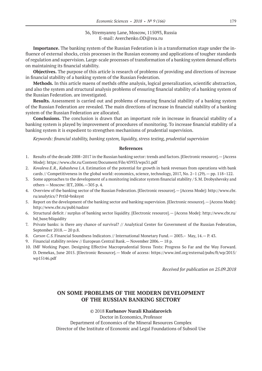#### 36, Stremyanny Lane, Moscow, 115093, Russia E-mail: Averchenko.OD@rea.ru

**Importance.** The banking system of the Russian Federation is in a transformation stage under the influence of external shocks, crisis processes in the Russian economy and applications of tougher standards of regulation and supervision. Large-scale processes of transformation of a banking system demand efforts on maintaining its financial stability.

**Objectives.** The purpose of this article is research of problems of providing and directions of increase in financial stability of a banking system of the Russian Federation.

**Methods.** In this article maens of methds ofthe analysis, logical generalization, scientific abstraction, and also the system and structural analysis problems of ensuring financial stability of a banking system of the Russian Federation. are investigated.

**Results.** Assessment is carried out and problems of ensuring financial stability of a banking system of the Russian Federation are revealed. The main directions of increase in financial stability of a banking system of the Russian Federation are allocated.

**Conclusions.** The conclusion is drawn that an important role in increase in financial stability of a banking system is played by improvement of procedures of monitoring. To increase financial stability of a banking system it is expedient to strengthen mechanisms of prudential supervision.

*Keywords: financial stability, banking system, liquidity, stress testing, prudential supervision*

#### **References**

- 1. Results of the decade 2008–2017 in the Russian banking sector: trends and factors. [Electronic resource].— [Access Mode]: https://www.cbr.ru/Content/Document/File/43933/wps31.pdf
- 2. *Kovaleva E.R., Kabasheva I.A.* Estimation of the potential for growth in bank revenues from operations with bank cards // Competitiveness in the global world: economics, science, technology, 2017, No. 2–1 (29).— pp. 118–122.
- 3. Some approaches to the development of a monitoring indicator system financial stability / S.M. Drobyshevsky and others — Moscow: IET, 2006.—305 p. 4.
- 4. Overview of the banking sector of the Russian Federation. [Electronic resource].— [Access Mode]: http://www.cbr. ru/analytics/? PrtId=bnksyst
- 5. Report on the development of the banking sector and banking supervision. [Electronic resource].— [Access Mode]: http://www.cbr.ru/publ/nadzor
- 6. Structural deficit / surplus of banking sector liquidity. [Electronic resource].— [Access Mode]: http://www.cbr.ru/ hd base/bliquidity
- 7. Private banks: is there any chance of survival? // Analytical Center for Government of the Russian Federation, September 2018.— 20 p.8.
- 8. *Carson C.S.* Financial Soundness Indicators // International Monetary Fund. 2003. May, 14. P. 43.
- 9. Financial stability review // European Central Bank.— November 2006.— 18 p.
- 10. IMF Working Paper. Designing Effective Macroprudential Stress Tests: Progress So Far and the Way Forward. D. Demekas, June 2015. [Electronic Resource].— Mode of access: https://www.imf.org/external/pubs/ft/wp/2015/ wp15146.pdf

*Received for publication on 25.09.2018*

# **ON SOME PROBLEMS OF THE MODERN DEVELOPMENT OF THE RUSSIAN BANKING SECTORY**

©© 2018 **Kurbanov Nurali Khaidarovich**

Doctor in Economics, Professor Department of Economics of the Mineral Resources Complex Director of the Institute of Economic and Legal Foundations of Subsoil Use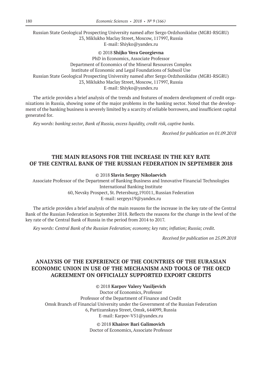Russian State Geological Prospecting University named after Sergo Ordzhonikidze (MGRI-RSGRU) 23, Miklukho Maclay Street, Moscow, 117997, Russia E‑mail: Shiyko@yandex.ru

©© 2018 **Shijko Vera Georgievna**

PhD in Economics, Associate Professor Department of Economics of the Mineral Resources Complex Institute of Economic and Legal Foundations of Subsoil Use Russian State Geological Prospecting University named after Sergo Ordzhonikidze (MGRI-RSGRU) 23, Miklukho Maclay Street, Moscow, 117997, Russia E‑mail: Shiyko@yandex.ru

The article provides a brief analysis of the trends and features of modern development of credit organizations in Russia, showing some of the major problems in the banking sector. Noted that the development of the banking business is severely limited by a scarcity of reliable borrowers, and insufficient capital generated for.

*Key words: banking sector, Bank of Russia, excess liquidity, credit risk, captive banks.*

*Received for publication on 01.09.2018*

# **THE MAIN REASONS FOR THE INCREASE IN THE KEY RATE OF THE CENTRAL BANK OF THE RUSSIAN FEDERATION IN SEPTEMBER 2018**

©© 2018 **Slavin Sergey Nikolaevich**

Associate Professor of the Department of Banking Business and Innovative Financial Technologies International Banking Institute 60, Nevsky Prospect, St. Petersburg,191011, Russian Federation E‑mail: sergeys19@yandex.ru

The article provides a brief analysis of the main reasons for the increase in the key rate of the Central Bank of the Russian Federation in September 2018. Reflects the reasons for the change in the level of the key rate of the Central Bank of Russia in the period from 2014 to 2017.

*Key words: Central Bank of the Russian Federation; economy; key rate; inflation; Russia; credit.*

*Received for publication on 25.09.2018*

# **ANALYSIS OF THE EXPERIENCE OF THE COUNTRIES OF THE EURASIAN ECONOMIC UNION IN USE OF THE MECHANISM AND TOOLS OF THE OECD AGREEMENT ON OFFICIALLY SUPPORTED EXPORT CREDITS**

©© 2018 **Karpov Valery Vasiljevich**

Doctor of Economics, Professor Professor of the Department of Finance and Credit Omsk Branch of Financial University under the Government of the Russian Federation 6, Partizanskaya Street, Omsk, 644099, Russia E‑mail: Karpov-V51@yandex.ru

> ©© 2018 **Khairov Bari Galimovich** Doctor of Economics, Associate Professor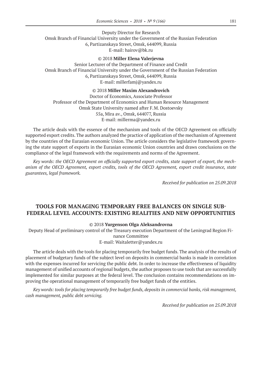Deputy Director for Research Omsk Branch of Financial University under the Government of the Russian Federation 6, Partizanskaya Street, Omsk, 644099, Russia E‑mail: hairov@bk.ru

#### ©© 2018 **Miller Elena Valerjevna**

Senior Lecturer of the Department of Finance and Credit Omsk Branch of Financial University under the Government of the Russian Federation 6, Partizanskaya Street, Omsk, 644099, Russia E‑mail: millerfamj@yandex.ru

#### ©© 2018 **Miller Maxim Alexandrovich**

Doctor of Economics, Associate Professor Professor of the Department of Economics and Human Resource Management Omsk State University named after F.M. Dostoevsky 55a, Mira av., Omsk, 644077, Russia E‑mail: millerma@yandex.ru

The article deals with the essence of the mechanism and tools of the OECD Agreement on officially supported export credits. The authors analyzed the practice of application of the mechanism of Agreement by the countries of the Eurasian economic Union. The article considers the legislative framework governing the state support of exports in the Eurasian economic Union countries and draws conclusions on the compliance of the legal framework with the requirements and norms of the Agreement.

*Key words: the OECD Agreement on officially supported export credits, state support of export, the mechanism of the OECD Agreement, export credits, tools of the OECD Agreement, export credit insurance, state guarantees, legal framework.*

*Received for publication on 25.09.2018*

## **TOOLS FOR MANAGING TEMPORARY FREE BALANCES ON SINGLE SUB-FEDERAL LEVEL ACCOUNTS: EXISTING REALITIES AND NEW OPPORTUNITIES**

#### ©© 2018 **Yurgenson Olga Aleksandrovna**

Deputy Head of preliminary control of the Treasury execution Department of the Leningrad Region Finance Committee

#### E‑mail: Waitaletter@yandex.ru

The article deals with the tools for placing temporarily free budget funds. The analysis of the results of placement of budgetary funds of the subject level on deposits in commercial banks is made in correlation with the expenses incurred for servicing the public debt. In order to increase the effectiveness of liquidity management of unified accounts of regional budgets, the author proposes to use tools that are successfully implemented for similar purposes at the federal level. The conclusion contains recommendations on improving the operational management of temporarily free budget funds of the entities.

*Key words: tools for placing temporarily free budget funds, deposits in commercial banks, risk management, cash management, public debt servicing.*

*Received for publication on 25.09.2018*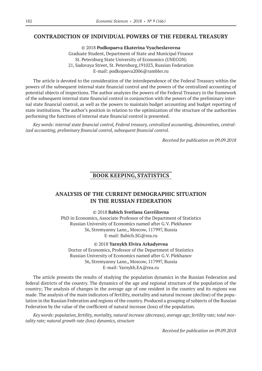### **CONTRADICTION OF INDIVIDUAL POWERS OF THE FEDERAL TREASURY**

©© 2018 **Podkopaeva Ekaterina Vyacheslavovna** Graduate Student, Department of State and Municipal Finance St. Petersburg State University of Economics (UNECON) 21, Sadovaya Street, St. Petersburg,191023, Russian Federation E‑mail: podkopaeva2006@rambler.ru

The article is devoted to the consideration of the interdependence of the Federal Treasury within the powers of the subsequent internal state financial control and the powers of the centralized accounting of potential objects of inspections. The author analyzes the powers of the Federal Treasury in the framework of the subsequent internal state financial control in conjunction with the powers of the preliminary internal state financial control, as well as the powers to maintain budget accounting and budget reporting of state institutions. The author's position in relation to the optimization of the structure of the authorities performing the functions of internal state financial control is presented.

*Key words: internal state financial control, Federal treasury, centralized accounting, disincentives, centralized accounting, preliminary financial control, subsequent financial control.*

*Received for publication on 09.09.2018*

### **BOOK KEEPING, STATISTICS**

## **ANALYSIS OF THE CURRENT DEMOGRAPHIC SITUATION IN THE RUSSIAN FEDERATION**

©© 2018 **Babich Svetlana Gavriilovna**

PhD in Economics, Associate Professor of the Department of Statistics Russian University of Economics named after G.V. Plekhanov 36, Stremyanny Lane,, Moscow, 117997, Russia E‑mail: Babich.SG@rea.ru

#### ©© 2018 **Yarnykh Elvira Arkadyevna**

Doctor of Economics, Professor of the Department of Statistics Russian University of Economics named after G.V. Plekhanov 36, Stremyanny Lane,, Moscow, 117997, Russia E‑mail: Yarnykh.EA@rea.ru

The article presents the results of studying the population dynamics in the Russian Federation and federal districts of the country. The dynamics of the age and regional structure of the population of the country; The analysis of changes in the average age of one resident in the country and its regions was made. The analysis of the main indicators of fertility, mortality and natural increase (decline) of the population in the Russian Federation and regions of the country. Produced a grouping of subjects of the Russian Federation by the value of the coefficient of natural increase (loss) of the population.

*Key words: population, fertility, mortality, natural increase (decrease), average age; fertility rate; total mortality rate; natural growth rate (loss) dynamics, structure*

*Received for publication on 09.09.2018*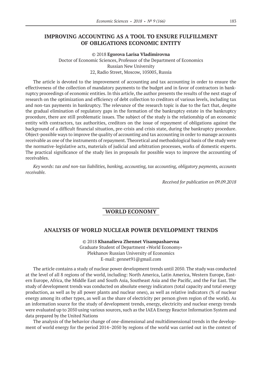### **IMPROVING ACCOUNTING AS A TOOL TO ENSURE FULFILLMENT OF OBLIGATIONS ECONOMIC ENTITY**

©© 2018 **Egorova Larisa Vladimirovna**

Doctor of Economic Sciences, Professor of the Department of Economics Russian New University 22, Radio Street, Moscow, 105005, Russia

The article is devoted to the improvement of accounting and tax accounting in order to ensure the effectiveness of the collection of mandatory payments to the budget and in favor of contractors in bankruptcy proceedings of economic entities. In this article, the author presents the results of the next stage of research on the optimization and efficiency of debt collection to creditors of various levels, including tax and non-tax payments in bankruptcy. The relevance of the research topic is due to the fact that, despite the gradual elimination of regulatory gaps in the formation of the bankruptcy estate in the bankruptcy procedure, there are still problematic issues. The subject of the study is the relationship of an economic entity with contractors, tax authorities, creditors on the issue of repayment of obligations against the background of a difficult financial situation, pre-crisis and crisis state, during the bankruptcy procedure. Object-possible ways to improve the quality of accounting and tax accounting in order to manage accounts receivable as one of the instruments of repayment. Theoretical and methodological basis of the study were the normative-legislative acts, materials of judicial and arbitration processes, works of domestic experts. The practical significance of the study lies in proposals for possible ways to improve the accounting of receivables.

*Key words: tax and non-tax liabilities, banking, accounting, tax accounting, obligatory payments, accounts receivable.*

*Received for publication on 09.09.2018*

# **WORLD ECONOMY**

#### **ANALYSIS OF WORLD NUCLEAR POWER DEVELOPMENT TRENDS**

©© 2018 **Khanalieva Zhennet Visampashaevna** Graduate Student of Department «World Economy» Plekhanov Russian University of Economics E‑mail: gennet91@gmail.com

The article contains a study of nuclear power development trends until 2050. The study was conducted at the level of all 8 regions of the world, including: North America, Latin America, Western Europe, Eastern Europe, Africa, the Middle East and South Asia, Southeast Asia and the Pacific, and the Far East. The study of development trends was conducted on absolute energy indicators (total capacity and total energy production, as well as by all power plants and nuclear ones), as well as relative indicators (% of nuclear energy among its other types, as well as the share of electricity per person given region of the world). As an information source for the study of development trends, energy, electricity and nuclear energy trends were evaluated up to 2050 using various sources, such as the IAEA Energy Reactor Information System and data prepared by the United Nations

The analysis of the behavior change of one-dimensional and multidimensional trends in the development of world energy for the period 2014–2050 by regions of the world was carried out in the context of